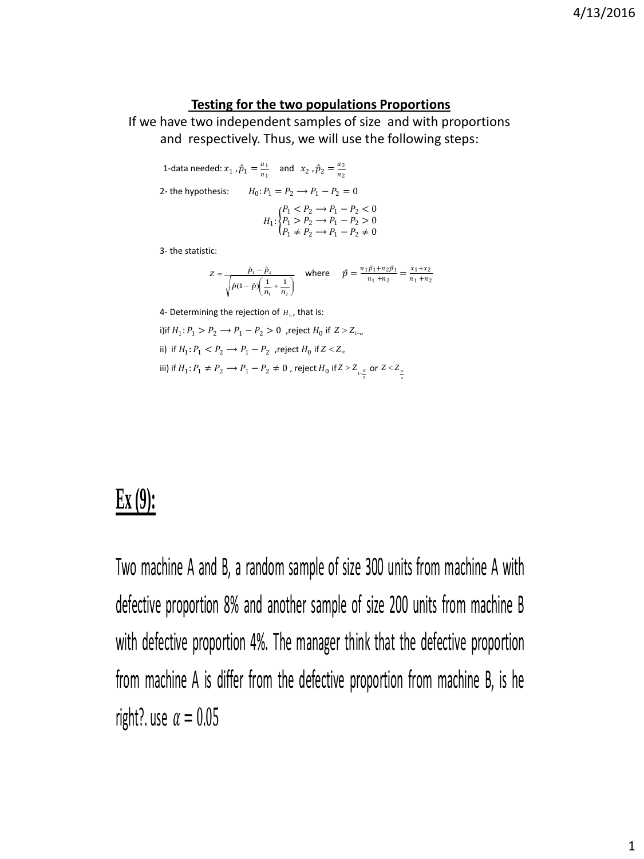## **Testing for the two populations Proportions**

If we have two independent samples of size and with proportions and respectively. Thus, we will use the following steps:

1-data needed:  $x_1$ ,  $\hat{p}_1 = \frac{a_1}{n_1}$  $\frac{a_1}{n_1}$  and  $x_2$ ,  $\hat{p}_2 = \frac{a_2}{n_2}$  $n_2$ 2- the hypothesis:  $H_0: P_1 = P_2 \longrightarrow P_1 - P_2 = 0$  $H_1$ :  $\}$ F  $P_1 < P_2 \rightarrow P_1 - P_2 < 0$  $P_1 > P_2 \rightarrow P_1 - P_2 > 0$  $P_1 \neq P_2 \longrightarrow P_1 - P_2 \neq 0$ 

3- the statistic:

$$
Z = \frac{\hat{p}_1 - \hat{p}_2}{\sqrt{\hat{p}(1-\hat{p})\left(\frac{1}{n_1} + \frac{1}{n_2}\right)}} \quad \text{where} \quad \hat{p} = \frac{n_1\hat{p}_1 + n_2\hat{p}_1}{n_1 + n_2} = \frac{x_1 + x_2}{n_1 + n_2}
$$

4- Determining the rejection of  $H_0$ , that is:

i) if  $H_1$ :  $P_1 > P_2 \rightarrow P_1 - P_2 > 0$ , reject  $H_0$  if  $Z > Z_{1-\alpha}$ ii) if  $H_1$ :  $P_1 < P_2 \rightarrow P_1 - P_2$ , reject  $H_0$  if  $Z < Z_\alpha$ iii) if  $H_1: P_1 \neq P_2 \longrightarrow P_1 - P_2 \neq 0$  , reject  $H_0$  if  $Z > Z_{\frac{a}{z}}$  or  $Z < Z_{\frac{a}{z}}$ 

## **Ex (9):**

Two machine A and B, a random sample of size 300 units from machine A with defective proportion 8% and another sample of size 200 units from machine B with defective proportion 4%. The manager think that the defective proportion from machine A is differ from the defective proportion from machine B, is he right?. use  $\alpha = 0.05$